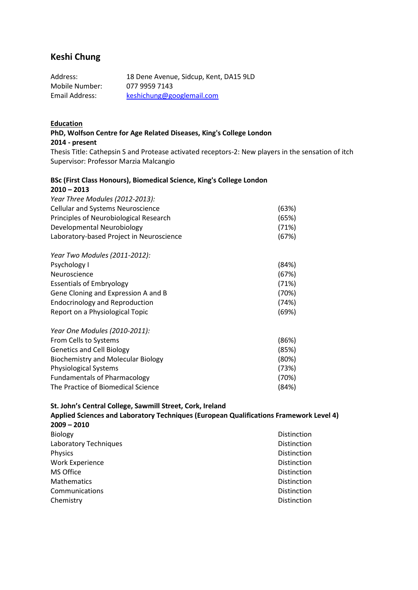# **Keshi Chung**

| Address:       | 18 Dene Avenue, Sidcup, Kent, DA15 9LD |
|----------------|----------------------------------------|
| Mobile Number: | 077 9959 7143                          |
| Email Address: | keshichung@googlemail.com              |

#### **Education**

**PhD, Wolfson Centre for Age Related Diseases, King's College London 2014 - present** Thesis Title: Cathepsin S and Protease activated receptors-2: New players in the sensation of itch Supervisor: Professor Marzia Malcangio

### **BSc (First Class Honours), Biomedical Science, King's College London 2010 – 2013**

| Year Three Modules (2012-2013):           |       |
|-------------------------------------------|-------|
| <b>Cellular and Systems Neuroscience</b>  | (63%) |
| Principles of Neurobiological Research    | (65%) |
| Developmental Neurobiology                | (71%) |
| Laboratory-based Project in Neuroscience  | (67%) |
| Year Two Modules (2011-2012):             |       |
| Psychology I                              | (84%) |
| Neuroscience                              | (67%) |
| <b>Essentials of Embryology</b>           | (71%) |
| Gene Cloning and Expression A and B       | (70%) |
| <b>Endocrinology and Reproduction</b>     | (74%) |
| Report on a Physiological Topic           | (69%) |
| Year One Modules (2010-2011):             |       |
| From Cells to Systems                     | (86%) |
| <b>Genetics and Cell Biology</b>          | (85%) |
| <b>Biochemistry and Molecular Biology</b> | (80%) |
| <b>Physiological Systems</b>              | (73%) |
| <b>Fundamentals of Pharmacology</b>       | (70%) |
| The Practice of Biomedical Science        | (84%) |

**St. John's Central College, Sawmill Street, Cork, Ireland Applied Sciences and Laboratory Techniques (European Qualifications Framework Level 4) 2009 – 2010**  Biology **Distinction** Laboratory Techniques **Distinction** Physics **Distinction** Work Experience **Distinction** MS Office Distinction Mathematics **Distinction** Communications **Distinction** Chemistry Distinction